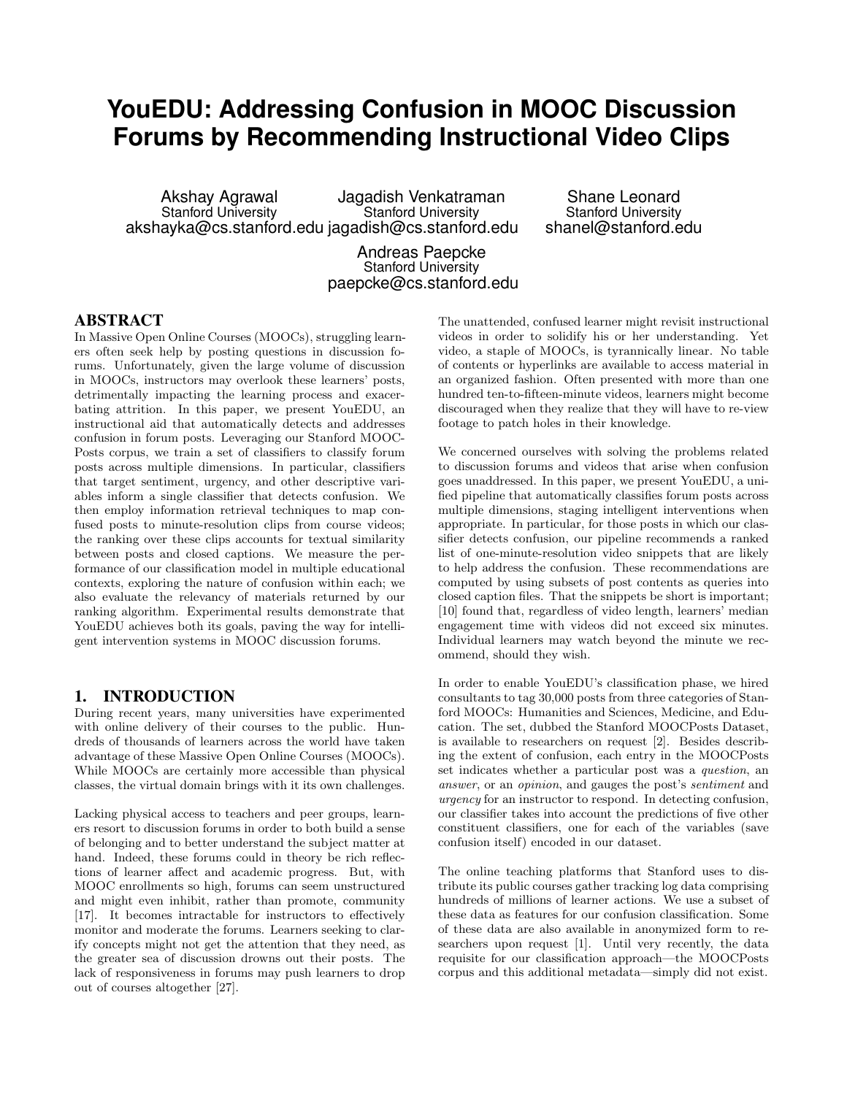# **YouEDU: Addressing Confusion in MOOC Discussion Forums by Recommending Instructional Video Clips**

Akshay Agrawal Stanford University akshayka@cs.stanford.edu jagadish@cs.stanford.edu Jagadish Venkatraman Stanford University

Shane Leonard Stanford University shanel@stanford.edu

Andreas Paepcke Stanford University paepcke@cs.stanford.edu

## ABSTRACT

In Massive Open Online Courses (MOOCs), struggling learners often seek help by posting questions in discussion forums. Unfortunately, given the large volume of discussion in MOOCs, instructors may overlook these learners' posts, detrimentally impacting the learning process and exacerbating attrition. In this paper, we present YouEDU, an instructional aid that automatically detects and addresses confusion in forum posts. Leveraging our Stanford MOOC-Posts corpus, we train a set of classifiers to classify forum posts across multiple dimensions. In particular, classifiers that target sentiment, urgency, and other descriptive variables inform a single classifier that detects confusion. We then employ information retrieval techniques to map confused posts to minute-resolution clips from course videos; the ranking over these clips accounts for textual similarity between posts and closed captions. We measure the performance of our classification model in multiple educational contexts, exploring the nature of confusion within each; we also evaluate the relevancy of materials returned by our ranking algorithm. Experimental results demonstrate that YouEDU achieves both its goals, paving the way for intelligent intervention systems in MOOC discussion forums.

#### 1. INTRODUCTION

During recent years, many universities have experimented with online delivery of their courses to the public. Hundreds of thousands of learners across the world have taken advantage of these Massive Open Online Courses (MOOCs). While MOOCs are certainly more accessible than physical classes, the virtual domain brings with it its own challenges.

Lacking physical access to teachers and peer groups, learners resort to discussion forums in order to both build a sense of belonging and to better understand the subject matter at hand. Indeed, these forums could in theory be rich reflections of learner affect and academic progress. But, with MOOC enrollments so high, forums can seem unstructured and might even inhibit, rather than promote, community [17]. It becomes intractable for instructors to effectively monitor and moderate the forums. Learners seeking to clarify concepts might not get the attention that they need, as the greater sea of discussion drowns out their posts. The lack of responsiveness in forums may push learners to drop out of courses altogether [27].

The unattended, confused learner might revisit instructional videos in order to solidify his or her understanding. Yet video, a staple of MOOCs, is tyrannically linear. No table of contents or hyperlinks are available to access material in an organized fashion. Often presented with more than one hundred ten-to-fifteen-minute videos, learners might become discouraged when they realize that they will have to re-view footage to patch holes in their knowledge.

We concerned ourselves with solving the problems related to discussion forums and videos that arise when confusion goes unaddressed. In this paper, we present YouEDU, a unified pipeline that automatically classifies forum posts across multiple dimensions, staging intelligent interventions when appropriate. In particular, for those posts in which our classifier detects confusion, our pipeline recommends a ranked list of one-minute-resolution video snippets that are likely to help address the confusion. These recommendations are computed by using subsets of post contents as queries into closed caption files. That the snippets be short is important; [10] found that, regardless of video length, learners' median engagement time with videos did not exceed six minutes. Individual learners may watch beyond the minute we recommend, should they wish.

In order to enable YouEDU's classification phase, we hired consultants to tag 30,000 posts from three categories of Stanford MOOCs: Humanities and Sciences, Medicine, and Education. The set, dubbed the Stanford MOOCPosts Dataset, is available to researchers on request [2]. Besides describing the extent of confusion, each entry in the MOOCPosts set indicates whether a particular post was a *question*, an *answer*, or an *opinion*, and gauges the post's *sentiment* and *urgency* for an instructor to respond. In detecting confusion, our classifier takes into account the predictions of five other constituent classifiers, one for each of the variables (save confusion itself) encoded in our dataset.

The online teaching platforms that Stanford uses to distribute its public courses gather tracking log data comprising hundreds of millions of learner actions. We use a subset of these data as features for our confusion classification. Some of these data are also available in anonymized form to researchers upon request [1]. Until very recently, the data requisite for our classification approach—the MOOCPosts corpus and this additional metadata—simply did not exist.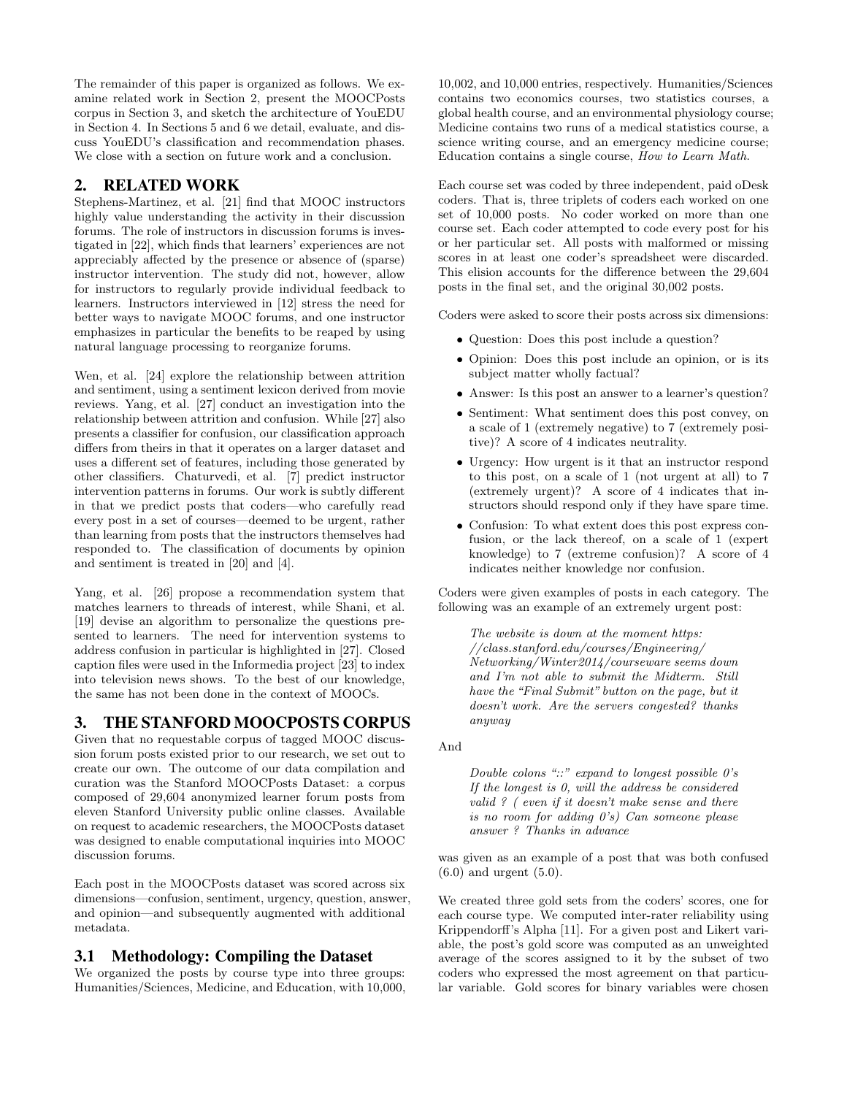The remainder of this paper is organized as follows. We examine related work in Section 2, present the MOOCPosts corpus in Section 3, and sketch the architecture of YouEDU in Section 4. In Sections 5 and 6 we detail, evaluate, and discuss YouEDU's classification and recommendation phases. We close with a section on future work and a conclusion.

## 2. RELATED WORK

Stephens-Martinez, et al. [21] find that MOOC instructors highly value understanding the activity in their discussion forums. The role of instructors in discussion forums is investigated in [22], which finds that learners' experiences are not appreciably affected by the presence or absence of (sparse) instructor intervention. The study did not, however, allow for instructors to regularly provide individual feedback to learners. Instructors interviewed in [12] stress the need for better ways to navigate MOOC forums, and one instructor emphasizes in particular the benefits to be reaped by using natural language processing to reorganize forums.

Wen, et al. [24] explore the relationship between attrition and sentiment, using a sentiment lexicon derived from movie reviews. Yang, et al. [27] conduct an investigation into the relationship between attrition and confusion. While [27] also presents a classifier for confusion, our classification approach differs from theirs in that it operates on a larger dataset and uses a different set of features, including those generated by other classifiers. Chaturvedi, et al. [7] predict instructor intervention patterns in forums. Our work is subtly different in that we predict posts that coders—who carefully read every post in a set of courses—deemed to be urgent, rather than learning from posts that the instructors themselves had responded to. The classification of documents by opinion and sentiment is treated in [20] and [4].

Yang, et al. [26] propose a recommendation system that matches learners to threads of interest, while Shani, et al. [19] devise an algorithm to personalize the questions presented to learners. The need for intervention systems to address confusion in particular is highlighted in [27]. Closed caption files were used in the Informedia project [23] to index into television news shows. To the best of our knowledge, the same has not been done in the context of MOOCs.

# 3. THE STANFORD MOOCPOSTS CORPUS

Given that no requestable corpus of tagged MOOC discussion forum posts existed prior to our research, we set out to create our own. The outcome of our data compilation and curation was the Stanford MOOCPosts Dataset: a corpus composed of 29,604 anonymized learner forum posts from eleven Stanford University public online classes. Available on request to academic researchers, the MOOCPosts dataset was designed to enable computational inquiries into MOOC discussion forums.

Each post in the MOOCPosts dataset was scored across six dimensions—confusion, sentiment, urgency, question, answer, and opinion—and subsequently augmented with additional metadata.

#### 3.1 Methodology: Compiling the Dataset

We organized the posts by course type into three groups: Humanities/Sciences, Medicine, and Education, with 10,000,

10,002, and 10,000 entries, respectively. Humanities/Sciences contains two economics courses, two statistics courses, a global health course, and an environmental physiology course; Medicine contains two runs of a medical statistics course, a science writing course, and an emergency medicine course; Education contains a single course, *How to Learn Math*.

Each course set was coded by three independent, paid oDesk coders. That is, three triplets of coders each worked on one set of 10,000 posts. No coder worked on more than one course set. Each coder attempted to code every post for his or her particular set. All posts with malformed or missing scores in at least one coder's spreadsheet were discarded. This elision accounts for the difference between the  $29,604$ posts in the final set, and the original 30,002 posts.

Coders were asked to score their posts across six dimensions:

- Question: Does this post include a question?
- *•* Opinion: Does this post include an opinion, or is its subject matter wholly factual?
- Answer: Is this post an answer to a learner's question?
- *•* Sentiment: What sentiment does this post convey, on a scale of 1 (extremely negative) to 7 (extremely positive)? A score of 4 indicates neutrality.
- *•* Urgency: How urgent is it that an instructor respond to this post, on a scale of 1 (not urgent at all) to 7 (extremely urgent)? A score of 4 indicates that instructors should respond only if they have spare time.
- *•* Confusion: To what extent does this post express confusion, or the lack thereof, on a scale of 1 (expert knowledge) to 7 (extreme confusion)? A score of 4 indicates neither knowledge nor confusion.

Coders were given examples of posts in each category. The following was an example of an extremely urgent post:

*The website is down at the moment https: //class.stanford.edu/courses/Engineering/ Networking/Winter2014/courseware seems down and I'm not able to submit the Midterm. Still have the "Final Submit" button on the page, but it doesn't work. Are the servers congested? thanks anyway*

And

*Double colons "::" expand to longest possible 0's If the longest is 0, will the address be considered valid ? ( even if it doesn't make sense and there is no room for adding 0's) Can someone please answer ? Thanks in advance*

was given as an example of a post that was both confused (6.0) and urgent (5.0).

We created three gold sets from the coders' scores, one for each course type. We computed inter-rater reliability using Krippendorff's Alpha [11]. For a given post and Likert variable, the post's gold score was computed as an unweighted average of the scores assigned to it by the subset of two coders who expressed the most agreement on that particular variable. Gold scores for binary variables were chosen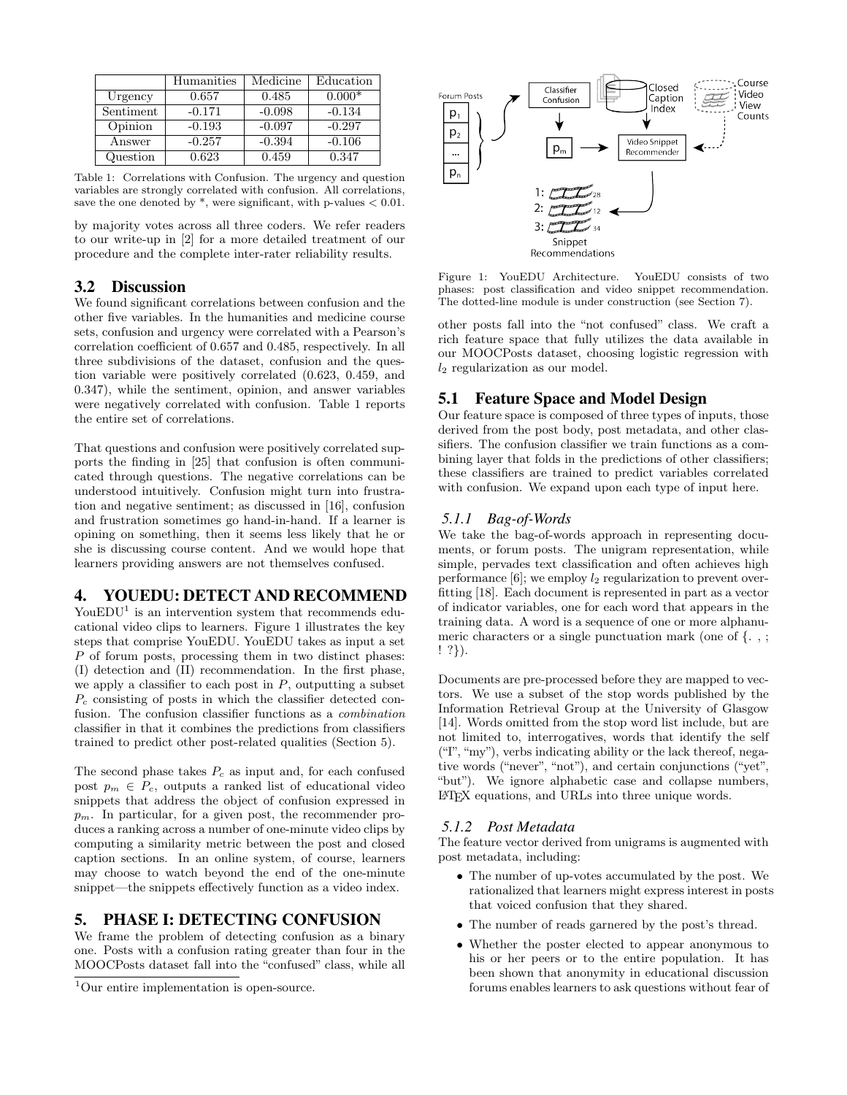|           | Humanities | Medicine | Education |
|-----------|------------|----------|-----------|
| Urgency   | 0.657      | 0.485    | $0.000*$  |
| Sentiment | $-0.171$   | $-0.098$ | $-0.134$  |
| Opinion   | $-0.193$   | $-0.097$ | $-0.297$  |
| Answer    | $-0.257$   | $-0.394$ | $-0.106$  |
| Question  | 0.623      | 0.459    | 0.347     |

Table 1: Correlations with Confusion. The urgency and question variables are strongly correlated with confusion. All correlations, save the one denoted by \*, were significant, with p-values *<* 0.01.

by majority votes across all three coders. We refer readers to our write-up in [2] for a more detailed treatment of our procedure and the complete inter-rater reliability results.

## 3.2 Discussion

We found significant correlations between confusion and the other five variables. In the humanities and medicine course sets, confusion and urgency were correlated with a Pearson's correlation coefficient of 0.657 and 0.485, respectively. In all three subdivisions of the dataset, confusion and the question variable were positively correlated (0.623, 0.459, and 0.347), while the sentiment, opinion, and answer variables were negatively correlated with confusion. Table 1 reports the entire set of correlations.

That questions and confusion were positively correlated supports the finding in [25] that confusion is often communicated through questions. The negative correlations can be understood intuitively. Confusion might turn into frustration and negative sentiment; as discussed in [16], confusion and frustration sometimes go hand-in-hand. If a learner is opining on something, then it seems less likely that he or she is discussing course content. And we would hope that learners providing answers are not themselves confused.

# 4. YOUEDU: DETECT AND RECOMMEND

YouEDU<sup>1</sup> is an intervention system that recommends educational video clips to learners. Figure 1 illustrates the key steps that comprise YouEDU. YouEDU takes as input a set *P* of forum posts, processing them in two distinct phases: (I) detection and (II) recommendation. In the first phase, we apply a classifier to each post in *P*, outputting a subset *P<sup>c</sup>* consisting of posts in which the classifier detected confusion. The confusion classifier functions as a *combination* classifier in that it combines the predictions from classifiers trained to predict other post-related qualities (Section 5).

The second phase takes *P<sup>c</sup>* as input and, for each confused post  $p_m \in P_c$ , outputs a ranked list of educational video snippets that address the object of confusion expressed in  $p_m$ . In particular, for a given post, the recommender produces a ranking across a number of one-minute video clips by computing a similarity metric between the post and closed caption sections. In an online system, of course, learners may choose to watch beyond the end of the one-minute snippet—the snippets effectively function as a video index.

## 5. PHASE I: DETECTING CONFUSION

We frame the problem of detecting confusion as a binary one. Posts with a confusion rating greater than four in the MOOCPosts dataset fall into the "confused" class, while all



Figure 1: YouEDU Architecture. YouEDU consists of two phases: post classification and video snippet recommendation. The dotted-line module is under construction (see Section 7).

other posts fall into the "not confused" class. We craft a rich feature space that fully utilizes the data available in our MOOCPosts dataset, choosing logistic regression with *l*<sup>2</sup> regularization as our model.

## 5.1 Feature Space and Model Design

Our feature space is composed of three types of inputs, those derived from the post body, post metadata, and other classifiers. The confusion classifier we train functions as a combining layer that folds in the predictions of other classifiers; these classifiers are trained to predict variables correlated with confusion. We expand upon each type of input here.

#### *5.1.1 Bag-of-Words*

We take the bag-of-words approach in representing documents, or forum posts. The unigram representation, while simple, pervades text classification and often achieves high performance  $[6]$ ; we employ  $l_2$  regularization to prevent overfitting [18]. Each document is represented in part as a vector of indicator variables, one for each word that appears in the training data. A word is a sequence of one or more alphanumeric characters or a single punctuation mark (one of *{*.,; ! ?*}*).

Documents are pre-processed before they are mapped to vectors. We use a subset of the stop words published by the Information Retrieval Group at the University of Glasgow [14]. Words omitted from the stop word list include, but are not limited to, interrogatives, words that identify the self ("I", "my"), verbs indicating ability or the lack thereof, negative words ("never", "not"), and certain conjunctions ("yet", "but"). We ignore alphabetic case and collapse numbers, LATEX equations, and URLs into three unique words.

#### *5.1.2 Post Metadata*

The feature vector derived from unigrams is augmented with post metadata, including:

- *•* The number of up-votes accumulated by the post. We rationalized that learners might express interest in posts that voiced confusion that they shared.
- The number of reads garnered by the post's thread.
- *•* Whether the poster elected to appear anonymous to his or her peers or to the entire population. It has been shown that anonymity in educational discussion forums enables learners to ask questions without fear of

<sup>&</sup>lt;sup>1</sup>Our entire implementation is open-source.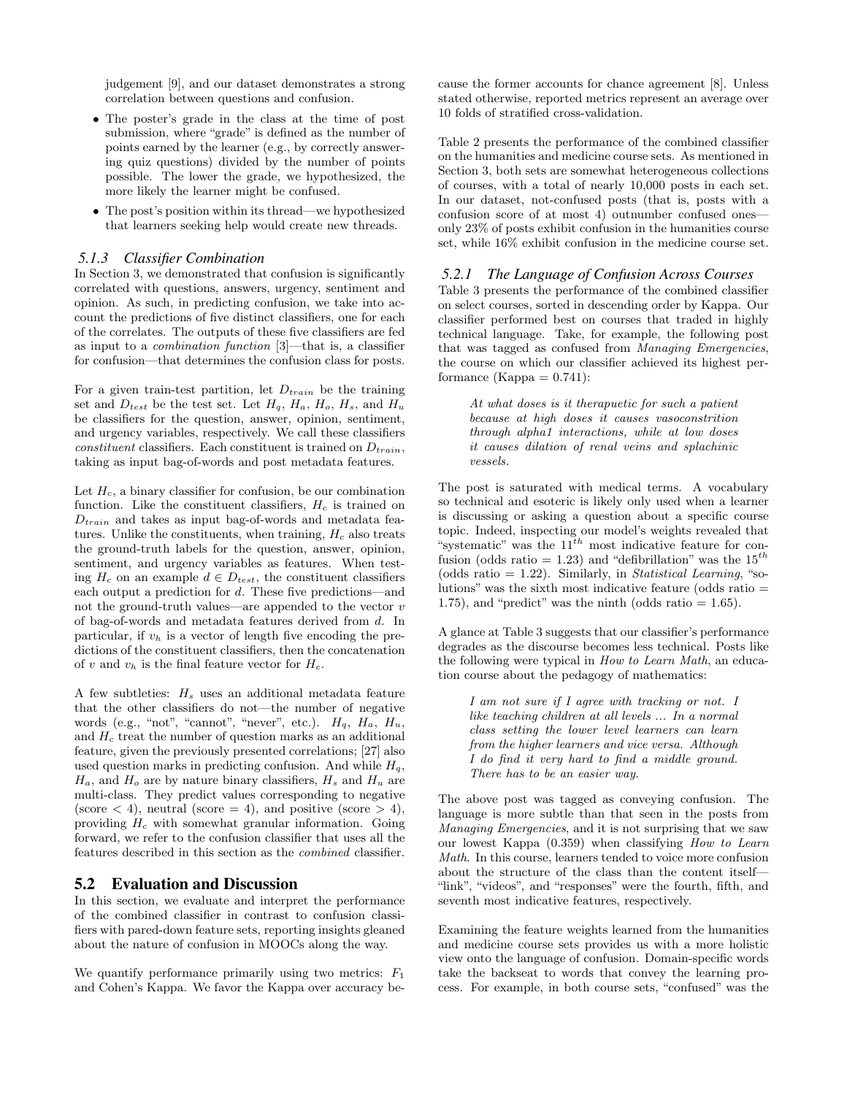judgement [9], and our dataset demonstrates a strong correlation between questions and confusion.

- *•* The poster's grade in the class at the time of post submission, where "grade" is defined as the number of points earned by the learner (e.g., by correctly answering quiz questions) divided by the number of points possible. The lower the grade, we hypothesized, the more likely the learner might be confused.
- *•* The post's position within its thread—we hypothesized that learners seeking help would create new threads.

#### *5.1.3 Classifier Combination*

In Section 3, we demonstrated that confusion is significantly correlated with questions, answers, urgency, sentiment and opinion. As such, in predicting confusion, we take into account the predictions of five distinct classifiers, one for each of the correlates. The outputs of these five classifiers are fed as input to a *combination function* [3]—that is, a classifier for confusion—that determines the confusion class for posts.

For a given train-test partition, let *Dtrain* be the training set and  $D_{test}$  be the test set. Let  $H_q$ ,  $H_a$ ,  $H_o$ ,  $H_s$ , and  $H_u$ be classifiers for the question, answer, opinion, sentiment, and urgency variables, respectively. We call these classifiers *constituent* classifiers. Each constituent is trained on *Dtrain*, taking as input bag-of-words and post metadata features.

Let *Hc*, a binary classifier for confusion, be our combination function. Like the constituent classifiers,  $H_c$  is trained on *Dtrain* and takes as input bag-of-words and metadata features. Unlike the constituents, when training, *H<sup>c</sup>* also treats the ground-truth labels for the question, answer, opinion, sentiment, and urgency variables as features. When testing  $H_c$  on an example  $d \in D_{test}$ , the constituent classifiers each output a prediction for *d*. These five predictions—and not the ground-truth values—are appended to the vector *v* of bag-of-words and metadata features derived from *d*. In particular, if  $v_h$  is a vector of length five encoding the predictions of the constituent classifiers, then the concatenation of *v* and  $v_h$  is the final feature vector for  $H_c$ .

A few subtleties: *H<sup>s</sup>* uses an additional metadata feature that the other classifiers do not—the number of negative words (e.g., "not", "cannot", "never", etc.). *Hq*, *Ha*, *Hu*, and *H<sup>c</sup>* treat the number of question marks as an additional feature, given the previously presented correlations; [27] also used question marks in predicting confusion. And while  $H_q$ ,  $H_a$ , and  $H_o$  are by nature binary classifiers,  $H_s$  and  $H_u$  are multi-class. They predict values corresponding to negative (score  $\langle 4 \rangle$ , neutral (score  $= 4$ ), and positive (score  $> 4$ ), providing *H<sup>c</sup>* with somewhat granular information. Going forward, we refer to the confusion classifier that uses all the features described in this section as the *combined* classifier.

# 5.2 Evaluation and Discussion

In this section, we evaluate and interpret the performance of the combined classifier in contrast to confusion classifiers with pared-down feature sets, reporting insights gleaned about the nature of confusion in MOOCs along the way.

We quantify performance primarily using two metrics: *F*<sup>1</sup> and Cohen's Kappa. We favor the Kappa over accuracy because the former accounts for chance agreement [8]. Unless stated otherwise, reported metrics represent an average over 10 folds of stratified cross-validation.

Table 2 presents the performance of the combined classifier on the humanities and medicine course sets. As mentioned in Section 3, both sets are somewhat heterogeneous collections of courses, with a total of nearly 10,000 posts in each set. In our dataset, not-confused posts (that is, posts with a confusion score of at most 4) outnumber confused ones only 23% of posts exhibit confusion in the humanities course set, while 16% exhibit confusion in the medicine course set.

#### *5.2.1 The Language of Confusion Across Courses*

Table 3 presents the performance of the combined classifier on select courses, sorted in descending order by Kappa. Our classifier performed best on courses that traded in highly technical language. Take, for example, the following post that was tagged as confused from *Managing Emergencies*, the course on which our classifier achieved its highest performance (Kappa  $= 0.741$ ):

*At what doses is it therapuetic for such a patient because at high doses it causes vasoconstrition through alpha1 interactions, while at low doses it causes dilation of renal veins and splachinic vessels.*

The post is saturated with medical terms. A vocabulary so technical and esoteric is likely only used when a learner is discussing or asking a question about a specific course topic. Indeed, inspecting our model's weights revealed that "systematic" was the 11*th* most indicative feature for confusion (odds ratio  $= 1.23$ ) and "defibrillation" was the 15<sup>th</sup> (odds ratio = 1.22). Similarly, in *Statistical Learning*, "solutions" was the sixth most indicative feature (odds ratio = 1.75), and "predict" was the ninth (odds ratio  $= 1.65$ ).

A glance at Table 3 suggests that our classifier's performance degrades as the discourse becomes less technical. Posts like the following were typical in *How to Learn Math*, an education course about the pedagogy of mathematics:

*I am not sure if I agree with tracking or not. I like teaching children at all levels ... In a normal class setting the lower level learners can learn from the higher learners and vice versa. Although I do find it very hard to find a middle ground. There has to be an easier way.*

The above post was tagged as conveying confusion. The language is more subtle than that seen in the posts from *Managing Emergencies*, and it is not surprising that we saw our lowest Kappa (0.359) when classifying *How to Learn Math*. In this course, learners tended to voice more confusion about the structure of the class than the content itself— "link", "videos", and "responses" were the fourth, fifth, and seventh most indicative features, respectively.

Examining the feature weights learned from the humanities and medicine course sets provides us with a more holistic view onto the language of confusion. Domain-specific words take the backseat to words that convey the learning process. For example, in both course sets, "confused" was the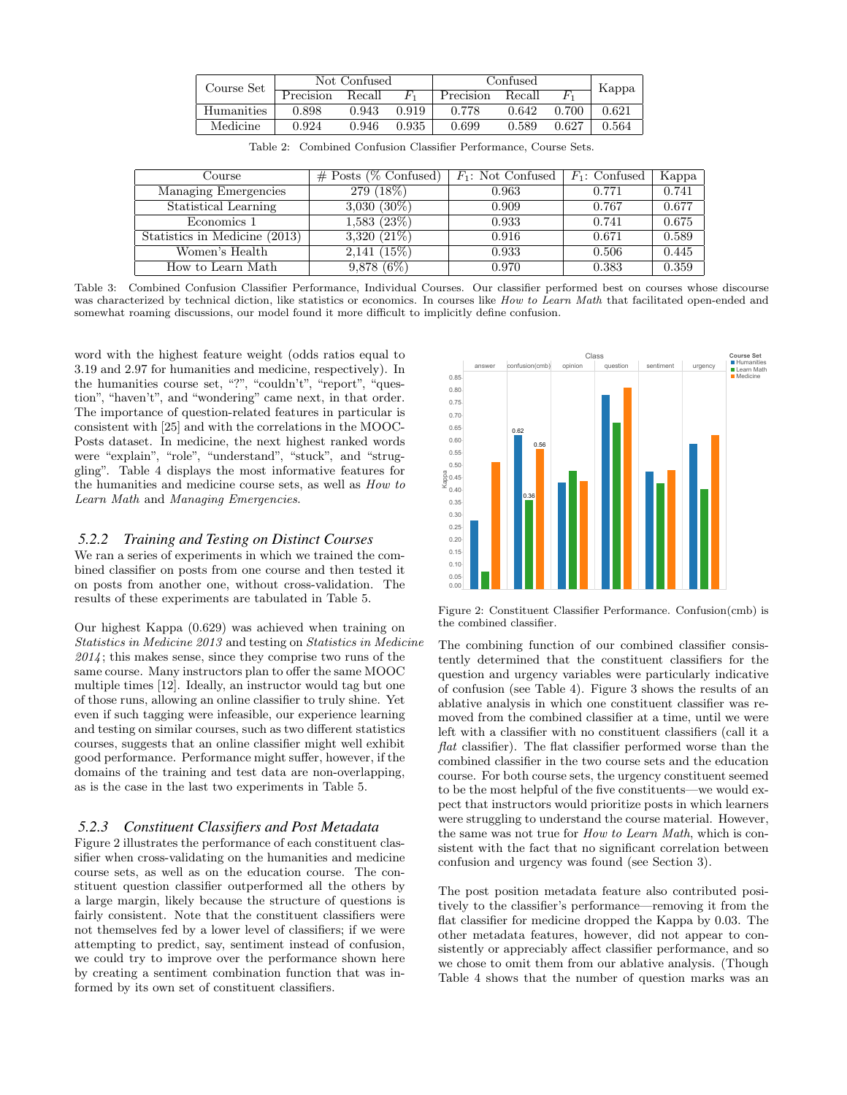| Course Set | Not Confused |        | Confused |           | Kappa  |       |       |
|------------|--------------|--------|----------|-----------|--------|-------|-------|
|            | Precision    | Recall | $H^1$    | Precision | Recall |       |       |
| Humanities | 0.898        | 0.943  | 0.919    | 0.778     | 0.642  | 0.700 | 0.621 |
| Medicine   | 0.924        | 0.946  | 0.935    | 0.699     | 0.589  | 0.627 | 0.564 |

|  |  |  |  | Table 2: Combined Confusion Classifier Performance, Course Sets. |  |  |
|--|--|--|--|------------------------------------------------------------------|--|--|
|--|--|--|--|------------------------------------------------------------------|--|--|

| Course                        | $\#$ Posts (% Confused) | $F_1$ : Not Confused   $F_1$ : Confused |       | Kappa |
|-------------------------------|-------------------------|-----------------------------------------|-------|-------|
| Managing Emergencies          | 279 (18%)               | 0.963                                   | 0.771 | 0.741 |
| Statistical Learning          | $3,030(30\%)$           | 0.909                                   | 0.767 | 0.677 |
| Economics 1                   | 1,583(23%)              | 0.933                                   | 0.741 | 0.675 |
| Statistics in Medicine (2013) | $3,320(21\%)$           | 0.916                                   | 0.671 | 0.589 |
| Women's Health                | 2,141(15%)              | 0.933                                   | 0.506 | 0.445 |
| How to Learn Math             | $9,878(6\%)$            | 0.970                                   | 0.383 | 0.359 |

Table 3: Combined Confusion Classifier Performance, Individual Courses. Our classifier performed best on courses whose discourse was characterized by technical diction, like statistics or economics. In courses like *How to Learn Math* that facilitated open-ended and somewhat roaming discussions, our model found it more difficult to implicitly define confusion.

word with the highest feature weight (odds ratios equal to 3.19 and 2.97 for humanities and medicine, respectively). In the humanities course set, "?", "couldn't", "report", "question", "haven't", and "wondering" came next, in that order. The importance of question-related features in particular is consistent with [25] and with the correlations in the MOOC-Posts dataset. In medicine, the next highest ranked words were "explain", "role", "understand", "stuck", and "struggling". Table 4 displays the most informative features for the humanities and medicine course sets, as well as *How to Learn Math* and *Managing Emergencies*.

#### *5.2.2 Training and Testing on Distinct Courses*

We ran a series of experiments in which we trained the combined classifier on posts from one course and then tested it on posts from another one, without cross-validation. The results of these experiments are tabulated in Table 5.

Our highest Kappa (0.629) was achieved when training on *Statistics in Medicine 2013* and testing on *Statistics in Medicine 2014* ; this makes sense, since they comprise two runs of the same course. Many instructors plan to offer the same MOOC multiple times [12]. Ideally, an instructor would tag but one of those runs, allowing an online classifier to truly shine. Yet even if such tagging were infeasible, our experience learning and testing on similar courses, such as two different statistics courses, suggests that an online classifier might well exhibit good performance. Performance might suffer, however, if the domains of the training and test data are non-overlapping, as is the case in the last two experiments in Table 5.

#### *5.2.3 Constituent Classifiers and Post Metadata*

Figure 2 illustrates the performance of each constituent classifier when cross-validating on the humanities and medicine course sets, as well as on the education course. The constituent question classifier outperformed all the others by a large margin, likely because the structure of questions is fairly consistent. Note that the constituent classifiers were not themselves fed by a lower level of classifiers; if we were attempting to predict, say, sentiment instead of confusion, we could try to improve over the performance shown here by creating a sentiment combination function that was informed by its own set of constituent classifiers.



Figure 2: Constituent Classifier Performance. Confusion(cmb) is the combined classifier.

The combining function of our combined classifier consistently determined that the constituent classifiers for the question and urgency variables were particularly indicative of confusion (see Table 4). Figure 3 shows the results of an ablative analysis in which one constituent classifier was removed from the combined classifier at a time, until we were left with a classifier with no constituent classifiers (call it a *flat* classifier). The flat classifier performed worse than the combined classifier in the two course sets and the education course. For both course sets, the urgency constituent seemed to be the most helpful of the five constituents—we would expect that instructors would prioritize posts in which learners were struggling to understand the course material. However, the same was not true for *How to Learn Math*, which is consistent with the fact that no significant correlation between confusion and urgency was found (see Section 3).

The post position metadata feature also contributed positively to the classifier's performance—removing it from the flat classifier for medicine dropped the Kappa by 0.03. The other metadata features, however, did not appear to consistently or appreciably affect classifier performance, and so we chose to omit them from our ablative analysis. (Though Table 4 shows that the number of question marks was an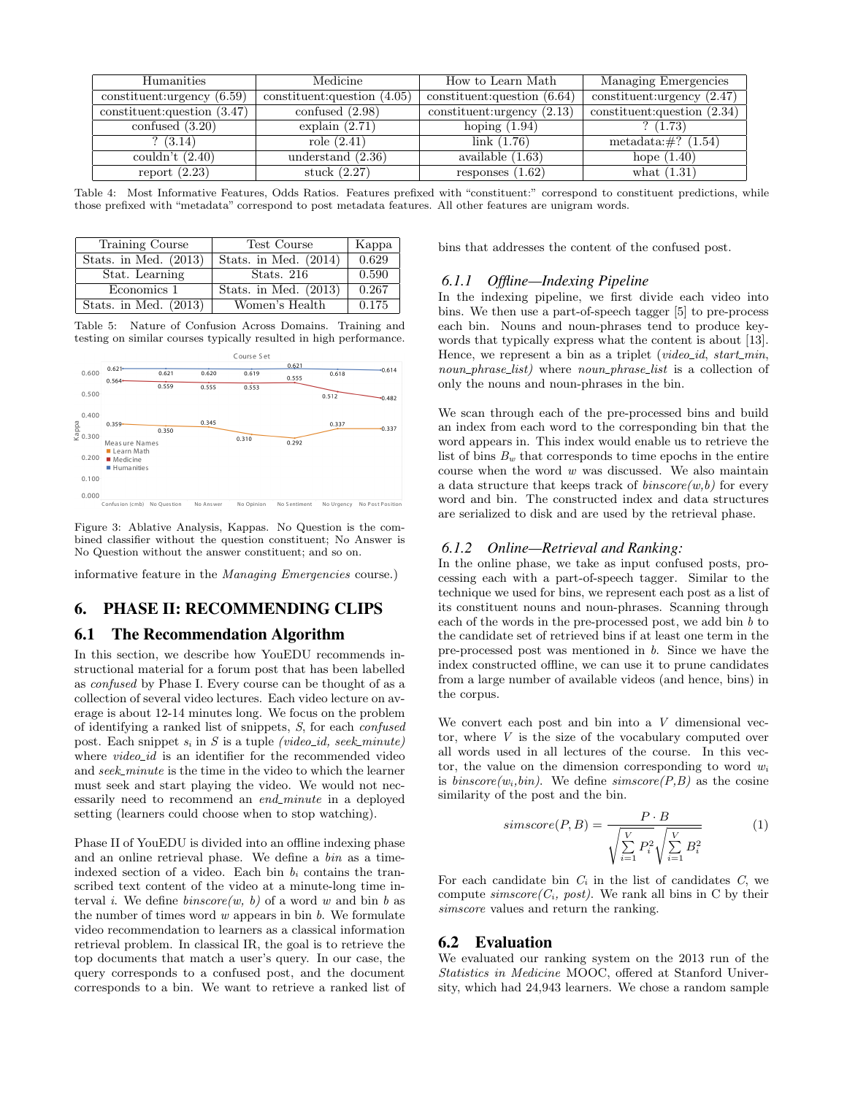| Humanities                     | Medicine                       |                                | Managing Emergencies           |  |
|--------------------------------|--------------------------------|--------------------------------|--------------------------------|--|
| constituent: urgency $(6.59)$  | constituent: question $(4.05)$ | constituent: question $(6.64)$ | constituent: urgency $(2.47)$  |  |
| constituent: question $(3.47)$ | confused $(2.98)$              | constituent: urgency $(2.13)$  | constituent: question $(2.34)$ |  |
| confused $(3.20)$              | explain $(2.71)$               | hoping $(1.94)$                | ? (1.73)                       |  |
| (3.14)                         | role $(2.41)$                  | link(1.76)                     | metadata: $\#$ ? (1.54)        |  |
| couldn't $(2.40)$              | understand $(2.36)$            | available $(1.63)$             | hope $(1.40)$                  |  |
| report $(2.23)$                | stuck $(2.27)$                 | responses $(1.62)$             | what $(1.31)$                  |  |

Table 4: Most Informative Features, Odds Ratios. Features prefixed with "constituent:" correspond to constituent predictions, while those prefixed with "metadata" correspond to post metadata features. All other features are unigram words.

| Training Course         | Test Course             | Kappa |
|-------------------------|-------------------------|-------|
| Stats. in Med. $(2013)$ | Stats. in Med. $(2014)$ | 0.629 |
| Stat. Learning          | Stats. $216$            | 0.590 |
| Economics 1             | Stats. in Med. $(2013)$ | 0.267 |
| Stats. in Med. $(2013)$ | Women's Health          | 0.175 |

Table 5: Nature of Confusion Across Domains. Training and testing on similar courses typically resulted in high performance.



Figure 3: Ablative Analysis, Kappas. No Question is the combined classifier without the question constituent; No Answer is No Question without the answer constituent; and so on.

informative feature in the *Managing Emergencies* course.)

# 6. PHASE II: RECOMMENDING CLIPS

#### 6.1 The Recommendation Algorithm

In this section, we describe how YouEDU recommends instructional material for a forum post that has been labelled as *confused* by Phase I. Every course can be thought of as a collection of several video lectures. Each video lecture on average is about 12-14 minutes long. We focus on the problem of identifying a ranked list of snippets, *S*, for each *confused* post. Each snippet  $s_i$  in  $S$  is a tuple *(video\_id, seek\_minute)* where *video-id* is an identifier for the recommended video and *seek minute* is the time in the video to which the learner must seek and start playing the video. We would not necessarily need to recommend an *end\_minute* in a deployed setting (learners could choose when to stop watching).

Phase II of YouEDU is divided into an offline indexing phase and an online retrieval phase. We define a *bin* as a timeindexed section of a video. Each bin  $b_i$  contains the transcribed text content of the video at a minute-long time interval *i*. We define *binscore(w, b)* of a word *w* and bin *b* as the number of times word *w* appears in bin *b*. We formulate video recommendation to learners as a classical information retrieval problem. In classical IR, the goal is to retrieve the top documents that match a user's query. In our case, the query corresponds to a confused post, and the document corresponds to a bin. We want to retrieve a ranked list of bins that addresses the content of the confused post.

#### *6.1.1 Offline—Indexing Pipeline*

In the indexing pipeline, we first divide each video into bins. We then use a part-of-speech tagger [5] to pre-process each bin. Nouns and noun-phrases tend to produce keywords that typically express what the content is about [13]. Hence, we represent a bin as a triplet (*video\_id*, *start\_min*, *noun phrase list)* where *noun phrase list* is a collection of only the nouns and noun-phrases in the bin.

We scan through each of the pre-processed bins and build an index from each word to the corresponding bin that the word appears in. This index would enable us to retrieve the list of bins  $B_w$  that corresponds to time epochs in the entire course when the word *w* was discussed. We also maintain a data structure that keeps track of *binscore(w,b)* for every word and bin. The constructed index and data structures are serialized to disk and are used by the retrieval phase.

#### *6.1.2 Online—Retrieval and Ranking:*

In the online phase, we take as input confused posts, processing each with a part-of-speech tagger. Similar to the technique we used for bins, we represent each post as a list of its constituent nouns and noun-phrases. Scanning through each of the words in the pre-processed post, we add bin *b* to the candidate set of retrieved bins if at least one term in the pre-processed post was mentioned in *b*. Since we have the index constructed offline, we can use it to prune candidates from a large number of available videos (and hence, bins) in the corpus.

We convert each post and bin into a *V* dimensional vector, where *V* is the size of the vocabulary computed over all words used in all lectures of the course. In this vector, the value on the dimension corresponding to word  $w_i$ is  $binscore(w_i,bin)$ . We define  $simscore(P,B)$  as the cosine similarity of the post and the bin.

$$
simscore(P, B) = \frac{P \cdot B}{\sqrt{\sum_{i=1}^{V} P_i^2} \sqrt{\sum_{i=1}^{V} B_i^2}}
$$
(1)

For each candidate bin  $C_i$  in the list of candidates  $C$ , we compute  $\mathit{simscore}(C_i, \mathit{post})$ . We rank all bins in C by their *simscore* values and return the ranking.

#### 6.2 Evaluation

We evaluated our ranking system on the 2013 run of the *Statistics in Medicine* MOOC, offered at Stanford University, which had 24,943 learners. We chose a random sample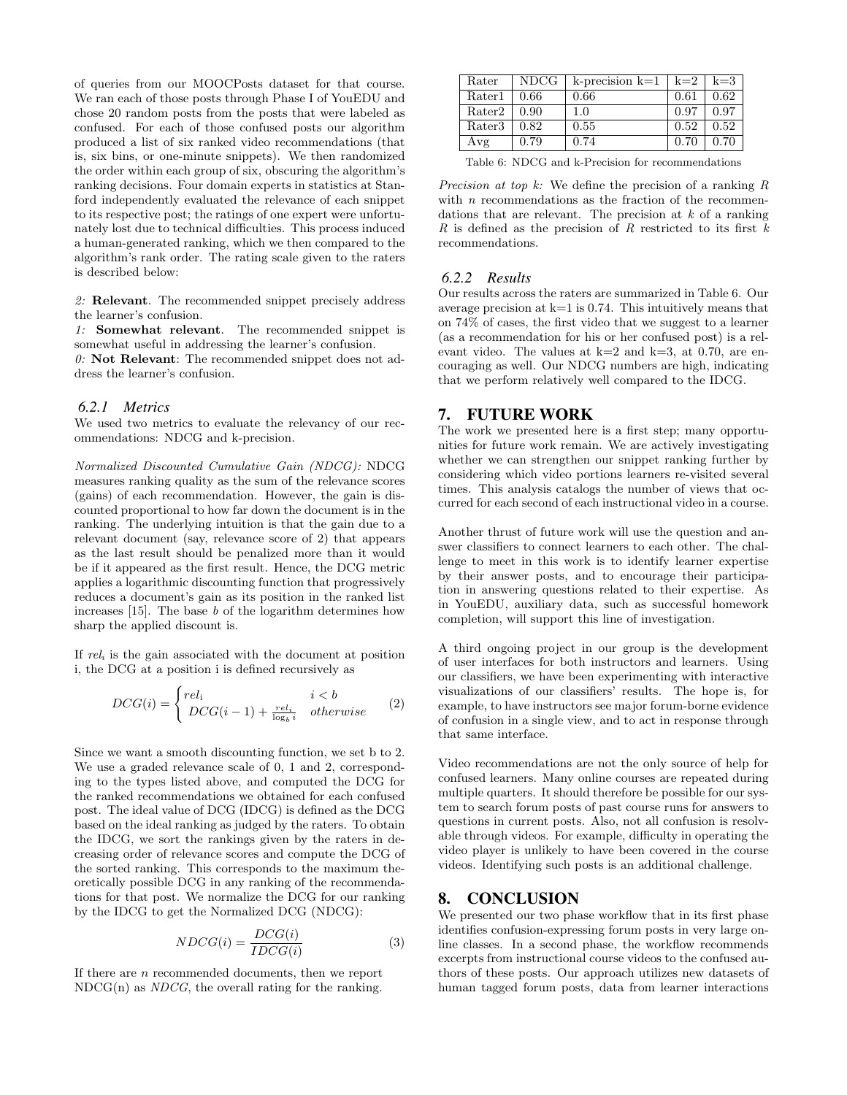of queries from our MOOCPosts dataset for that course. We ran each of those posts through Phase I of YouEDU and chose 20 random posts from the posts that were labeled as confused. For each of those confused posts our algorithm produced a list of six ranked video recommendations (that is, six bins, or one-minute snippets). We then randomized the order within each group of six, obscuring the algorithm's ranking decisions. Four domain experts in statistics at Stanford independently evaluated the relevance of each snippet to its respective post; the ratings of one expert were unfortunately lost due to technical difficulties. This process induced a human-generated ranking, which we then compared to the algorithm's rank order. The rating scale given to the raters is described below:

*2:* Relevant. The recommended snippet precisely address the learner's confusion.

*1:* Somewhat relevant. The recommended snippet is somewhat useful in addressing the learner's confusion.

*0:* Not Relevant: The recommended snippet does not address the learner's confusion.

## *6.2.1 Metrics*

We used two metrics to evaluate the relevancy of our recommendations: NDCG and k-precision.

*Normalized Discounted Cumulative Gain (NDCG):* NDCG measures ranking quality as the sum of the relevance scores (gains) of each recommendation. However, the gain is discounted proportional to how far down the document is in the ranking. The underlying intuition is that the gain due to a relevant document (say, relevance score of 2) that appears as the last result should be penalized more than it would be if it appeared as the first result. Hence, the DCG metric applies a logarithmic discounting function that progressively reduces a document's gain as its position in the ranked list increases [15]. The base *b* of the logarithm determines how sharp the applied discount is.

If *rel<sup>i</sup>* is the gain associated with the document at position i, the DCG at a position i is defined recursively as

$$
DCG(i) = \begin{cases} rel_i & i < b \\ DCG(i-1) + \frac{rel_i}{\log_b i} & otherwise \end{cases}
$$
 (2)

Since we want a smooth discounting function, we set b to 2. We use a graded relevance scale of 0, 1 and 2, corresponding to the types listed above, and computed the DCG for the ranked recommendations we obtained for each confused post. The ideal value of DCG (IDCG) is defined as the DCG based on the ideal ranking as judged by the raters. To obtain the IDCG, we sort the rankings given by the raters in decreasing order of relevance scores and compute the DCG of the sorted ranking. This corresponds to the maximum theoretically possible DCG in any ranking of the recommendations for that post. We normalize the DCG for our ranking by the IDCG to get the Normalized DCG (NDCG):

$$
NDCG(i) = \frac{DCG(i)}{IDCG(i)}\tag{3}
$$

If there are *n* recommended documents, then we report NDCG(n) as *NDCG*, the overall rating for the ranking.

| Rater  | NDCG | k-precision k=1 $\vert$ k=2 $\vert$ k=3 $\vert$ |      |      |
|--------|------|-------------------------------------------------|------|------|
| Rater1 | 0.66 | 0.66                                            | 0.61 | 0.62 |
| Rater2 | 0.90 | 1.0                                             | 0.97 | 0.97 |
| Rater3 | 0.82 | 0.55                                            | 0.52 | 0.52 |
| Avg    | 0.79 | 0.74                                            | 0.70 | 0.70 |

Table 6: NDCG and k-Precision for recommendations

*Precision at top k:* We define the precision of a ranking *R* with *n* recommendations as the fraction of the recommendations that are relevant. The precision at *k* of a ranking *R* is defined as the precision of *R* restricted to its first *k* recommendations.

#### *6.2.2 Results*

Our results across the raters are summarized in Table 6. Our average precision at  $k=1$  is 0.74. This intuitively means that on 74% of cases, the first video that we suggest to a learner (as a recommendation for his or her confused post) is a relevant video. The values at  $k=2$  and  $k=3$ , at 0.70, are encouraging as well. Our NDCG numbers are high, indicating that we perform relatively well compared to the IDCG.

# 7. FUTURE WORK

The work we presented here is a first step; many opportunities for future work remain. We are actively investigating whether we can strengthen our snippet ranking further by considering which video portions learners re-visited several times. This analysis catalogs the number of views that occurred for each second of each instructional video in a course.

Another thrust of future work will use the question and answer classifiers to connect learners to each other. The challenge to meet in this work is to identify learner expertise by their answer posts, and to encourage their participation in answering questions related to their expertise. As in YouEDU, auxiliary data, such as successful homework completion, will support this line of investigation.

A third ongoing project in our group is the development of user interfaces for both instructors and learners. Using our classifiers, we have been experimenting with interactive visualizations of our classifiers' results. The hope is, for example, to have instructors see major forum-borne evidence of confusion in a single view, and to act in response through that same interface.

Video recommendations are not the only source of help for confused learners. Many online courses are repeated during multiple quarters. It should therefore be possible for our system to search forum posts of past course runs for answers to questions in current posts. Also, not all confusion is resolvable through videos. For example, difficulty in operating the video player is unlikely to have been covered in the course videos. Identifying such posts is an additional challenge.

## 8. CONCLUSION

We presented our two phase workflow that in its first phase identifies confusion-expressing forum posts in very large online classes. In a second phase, the workflow recommends excerpts from instructional course videos to the confused authors of these posts. Our approach utilizes new datasets of human tagged forum posts, data from learner interactions